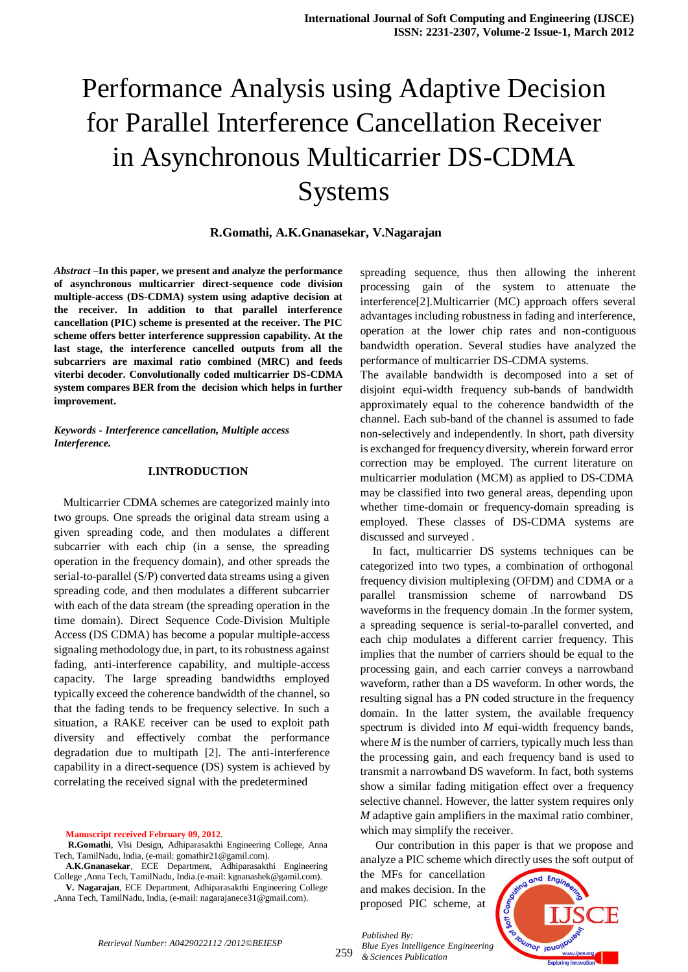# Performance Analysis using Adaptive Decision for Parallel Interference Cancellation Receiver in Asynchronous Multicarrier DS-CDMA **Systems**

**R.Gomathi, A.K.Gnanasekar, V.Nagarajan**

*Abstract* **–In this paper, we present and analyze the performance of asynchronous multicarrier direct-sequence code division multiple-access (DS-CDMA) system using adaptive decision at the receiver. In addition to that parallel interference cancellation (PIC) scheme is presented at the receiver. The PIC scheme offers better interference suppression capability. At the last stage, the interference cancelled outputs from all the subcarriers are maximal ratio combined (MRC) and feeds viterbi decoder. Convolutionally coded multicarrier DS-CDMA system compares BER from the decision which helps in further improvement.**

*Keywords - Interference cancellation, Multiple access Interference.*

## **I.INTRODUCTION**

 Multicarrier CDMA schemes are categorized mainly into two groups. One spreads the original data stream using a given spreading code, and then modulates a different subcarrier with each chip (in a sense, the spreading operation in the frequency domain), and other spreads the serial-to-parallel (S/P) converted data streams using a given spreading code, and then modulates a different subcarrier with each of the data stream (the spreading operation in the time domain). Direct Sequence Code-Division Multiple Access (DS CDMA) has become a popular multiple-access signaling methodology due, in part, to its robustness against fading, anti-interference capability, and multiple-access capacity. The large spreading bandwidths employed typically exceed the coherence bandwidth of the channel, so that the fading tends to be frequency selective. In such a situation, a RAKE receiver can be used to exploit path diversity and effectively combat the performance degradation due to multipath [2]. The anti-interference capability in a direct-sequence (DS) system is achieved by correlating the received signal with the predetermined

**Manuscript received February 09, 2012**.

,Anna Tech, TamilNadu, India, (e-mail: nagarajanece31@gmail.com).

spreading sequence, thus then allowing the inherent processing gain of the system to attenuate the interference[2].Multicarrier (MC) approach offers several advantages including robustness in fading and interference, operation at the lower chip rates and non-contiguous bandwidth operation. Several studies have analyzed the performance of multicarrier DS-CDMA systems.

The available bandwidth is decomposed into a set of disjoint equi-width frequency sub-bands of bandwidth approximately equal to the coherence bandwidth of the channel. Each sub-band of the channel is assumed to fade non-selectively and independently. In short, path diversity is exchanged for frequency diversity, wherein forward error correction may be employed. The current literature on multicarrier modulation (MCM) as applied to DS-CDMA may be classified into two general areas, depending upon whether time-domain or frequency-domain spreading is employed. These classes of DS-CDMA systems are discussed and surveyed .

 In fact, multicarrier DS systems techniques can be categorized into two types, a combination of orthogonal frequency division multiplexing (OFDM) and CDMA or a parallel transmission scheme of narrowband DS waveforms in the frequency domain .In the former system, a spreading sequence is serial-to-parallel converted, and each chip modulates a different carrier frequency. This implies that the number of carriers should be equal to the processing gain, and each carrier conveys a narrowband waveform, rather than a DS waveform. In other words, the resulting signal has a PN coded structure in the frequency domain. In the latter system, the available frequency spectrum is divided into *M* equi-width frequency bands, where *M* is the number of carriers, typically much less than the processing gain, and each frequency band is used to transmit a narrowband DS waveform. In fact, both systems show a similar fading mitigation effect over a frequency selective channel. However, the latter system requires only *M* adaptive gain amplifiers in the maximal ratio combiner, which may simplify the receiver.

 Our contribution in this paper is that we propose and analyze a PIC scheme which directly uses the soft output of

the MFs for cancellation and makes decision. In the proposed PIC scheme, at

*Published By:*

*& Sciences Publication* 



**R.Gomathi**, Vlsi Design, Adhiparasakthi Engineering College, Anna Tech, TamilNadu, India, (e-mail: gomathir21@gamil.com).

**A.K.Gnanasekar**, ECE Department, Adhiparasakthi Engineering College ,Anna Tech, TamilNadu, India.(e-mail: kgnanashek@gamil.com). **V. Nagarajan**, ECE Department, Adhiparasakthi Engineering College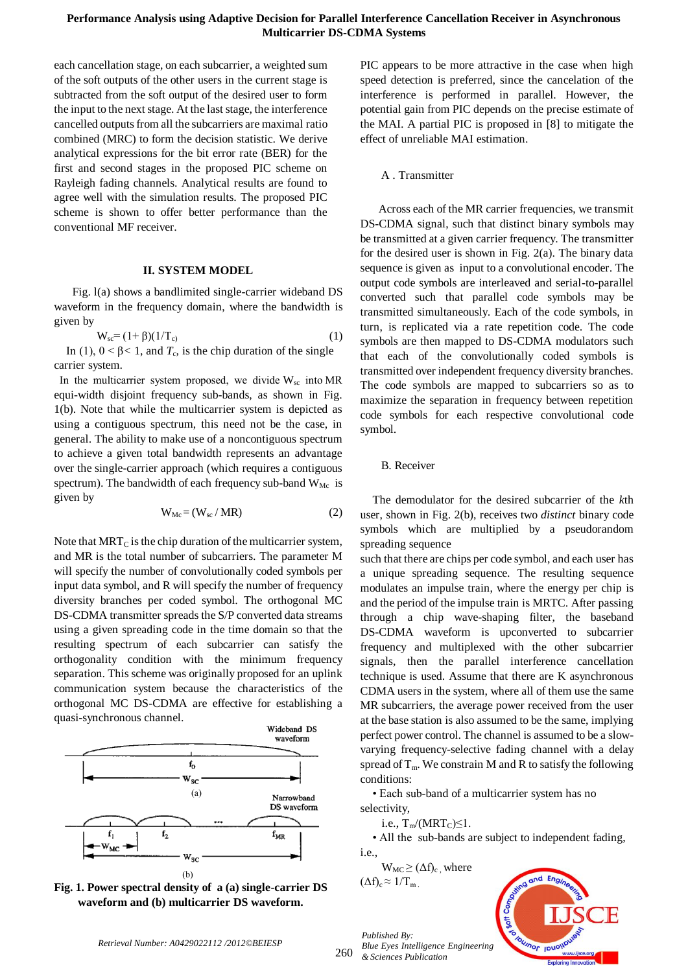each cancellation stage, on each subcarrier, a weighted sum of the soft outputs of the other users in the current stage is subtracted from the soft output of the desired user to form the input to the next stage. At the last stage, the interference cancelled outputs from all the subcarriers are maximal ratio combined (MRC) to form the decision statistic. We derive analytical expressions for the bit error rate (BER) for the first and second stages in the proposed PIC scheme on Rayleigh fading channels. Analytical results are found to agree well with the simulation results. The proposed PIC scheme is shown to offer better performance than the conventional MF receiver.

### **II. SYSTEM MODEL**

 Fig. l(a) shows a bandlimited single-carrier wideband DS waveform in the frequency domain, where the bandwidth is given by

$$
W_{sc} = (1 + \beta)(1/T_c) \tag{1}
$$

In (1),  $0 < \beta < 1$ , and  $T_c$  is the chip duration of the single carrier system.

In the multicarrier system proposed, we divide  $W_{sc}$  into MR equi-width disjoint frequency sub-bands, as shown in Fig. 1(b). Note that while the multicarrier system is depicted as using a contiguous spectrum, this need not be the case, in general. The ability to make use of a noncontiguous spectrum to achieve a given total bandwidth represents an advantage over the single-carrier approach (which requires a contiguous spectrum). The bandwidth of each frequency sub-band  $W_{Mc}$  is given by

$$
W_{Mc} = (W_{sc} / MR)
$$
 (2)

Note that  $MRT_C$  is the chip duration of the multicarrier system, and MR is the total number of subcarriers. The parameter M will specify the number of convolutionally coded symbols per input data symbol, and R will specify the number of frequency diversity branches per coded symbol. The orthogonal MC DS-CDMA transmitter spreads the S/P converted data streams using a given spreading code in the time domain so that the resulting spectrum of each subcarrier can satisfy the orthogonality condition with the minimum frequency separation. This scheme was originally proposed for an uplink communication system because the characteristics of the orthogonal MC DS-CDMA are effective for establishing a quasi-synchronous channel.



**Fig. 1. Power spectral density of a (a) single-carrier DS waveform and (b) multicarrier DS waveform.**

PIC appears to be more attractive in the case when high speed detection is preferred, since the cancelation of the interference is performed in parallel. However, the potential gain from PIC depends on the precise estimate of the MAI. A partial PIC is proposed in [8] to mitigate the effect of unreliable MAI estimation.

## A . Transmitter

 Across each of the MR carrier frequencies, we transmit DS-CDMA signal, such that distinct binary symbols may be transmitted at a given carrier frequency. The transmitter for the desired user is shown in Fig. 2(a). The binary data sequence is given as input to a convolutional encoder. The output code symbols are interleaved and serial-to-parallel converted such that parallel code symbols may be transmitted simultaneously. Each of the code symbols, in turn, is replicated via a rate repetition code. The code symbols are then mapped to DS-CDMA modulators such that each of the convolutionally coded symbols is transmitted over independent frequency diversity branches. The code symbols are mapped to subcarriers so as to maximize the separation in frequency between repetition code symbols for each respective convolutional code symbol.

#### B. Receiver

 The demodulator for the desired subcarrier of the *k*th user, shown in Fig. 2(b), receives two *distinct* binary code symbols which are multiplied by a pseudorandom spreading sequence

such that there are chips per code symbol, and each user has a unique spreading sequence. The resulting sequence modulates an impulse train, where the energy per chip is and the period of the impulse train is MRTC. After passing through a chip wave-shaping filter, the baseband DS-CDMA waveform is upconverted to subcarrier frequency and multiplexed with the other subcarrier signals, then the parallel interference cancellation technique is used. Assume that there are K asynchronous CDMA users in the system, where all of them use the same MR subcarriers, the average power received from the user at the base station is also assumed to be the same, implying perfect power control. The channel is assumed to be a slowvarying frequency-selective fading channel with a delay spread of  $T_m$ . We constrain M and R to satisfy the following conditions:

 • Each sub-band of a multicarrier system has no selectivity,

i.e.,  $T_m/(MRT_C) \leq 1$ .

 • All the sub-bands are subject to independent fading, i.e.,

 $W_{MC} \geq (\Delta f)_c$ , where  $(\Delta f)_{c} \approx 1/T_{m}$ 



*Retrieval Number: A0429022112 /2012©BEIESP*

260 *& Sciences Publication* 

*Published By:*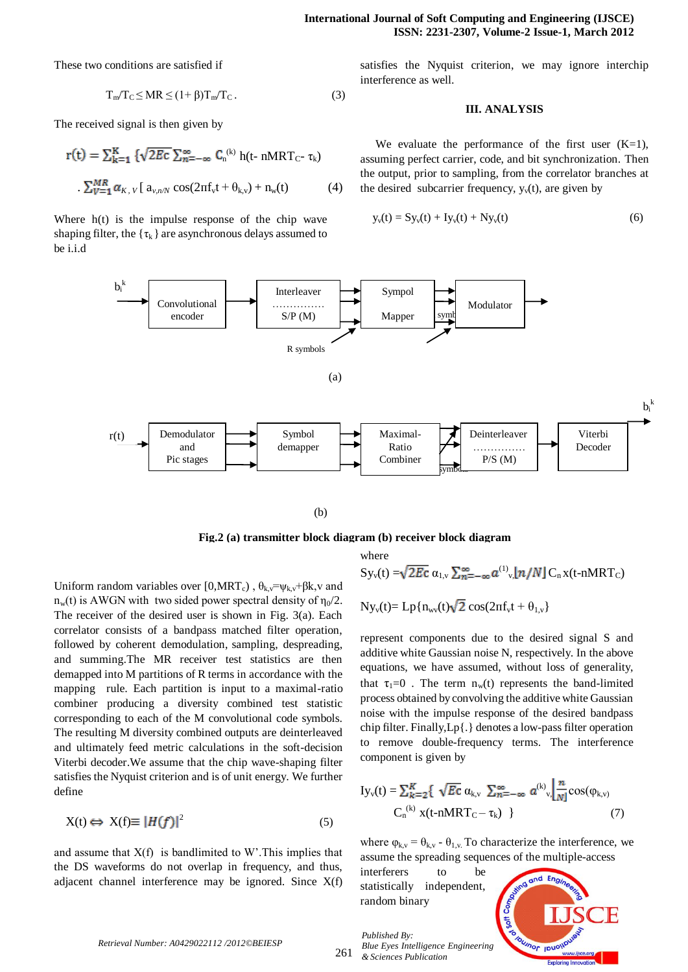These two conditions are satisfied if

$$
T_m/T_c \le MR \le (1+\beta)T_m/T_c. \tag{3}
$$

The received signal is then given by

$$
\mathbf{r}(t) = \sum_{k=1}^{K} \{ \sqrt{2Ec} \sum_{n=-\infty}^{\infty} C_n^{(k)} \mathbf{h}(t - nMRT_C - \tau_k) \}
$$

$$
\sum_{V=1}^{MR} \alpha_{K, V} \left[ a_{v,nN} \cos(2\pi f_v t + \theta_{k,v}) + n_w(t) \right] \tag{4}
$$

Where  $h(t)$  is the impulse response of the chip wave shaping filter, the  $\{\tau_k\}$  are asynchronous delays assumed to be i.i.d

satisfies the Nyquist criterion, we may ignore interchip interference as well.

### **III. ANALYSIS**

We evaluate the performance of the first user  $(K=1)$ , assuming perfect carrier, code, and bit synchronization. Then the output, prior to sampling, from the correlator branches at the desired subcarrier frequency,  $y<sub>v</sub>(t)$ , are given by

$$
y_v(t) = Sy_v(t) + Iy_v(t) + Ny_v(t)
$$
 (6)



(b)

**Fig.2 (a) transmitter block diagram (b) receiver block diagram**

where

Uniform random variables over [0,MRT<sub>c</sub>),  $\theta_k = \psi_k + \beta k$ , v and  $n_w(t)$  is AWGN with two sided power spectral density of  $n_0/2$ . The receiver of the desired user is shown in Fig. 3(a). Each correlator consists of a bandpass matched filter operation, followed by coherent demodulation, sampling, despreading, and summing.The MR receiver test statistics are then demapped into M partitions of R terms in accordance with the mapping rule. Each partition is input to a maximal-ratio combiner producing a diversity combined test statistic corresponding to each of the M convolutional code symbols. The resulting M diversity combined outputs are deinterleaved and ultimately feed metric calculations in the soft-decision Viterbi decoder.We assume that the chip wave-shaping filter satisfies the Nyquist criterion and is of unit energy. We further define

$$
X(t) \Leftrightarrow X(f) \equiv |H(f)|^2 \tag{5}
$$

and assume that  $X(f)$  is bandlimited to W'. This implies that the DS waveforms do not overlap in frequency, and thus, adjacent channel interference may be ignored. Since X(f)

$$
Sy_{v}(t) = \sqrt{2Ec} \alpha_{1,v} \sum_{n=-\infty}^{\infty} a^{(1)}_{v} [n/N] C_n x(t \cdot nMRT_C)
$$

$$
Ny_v(t)\!\!=\!Lp\{n_{wv}(t)\!\sqrt{2}\cos(2\pi f_v t+\theta_{1,v}\}
$$

represent components due to the desired signal S and additive white Gaussian noise N, respectively. In the above equations, we have assumed, without loss of generality, that  $\tau_1=0$ . The term  $n_w(t)$  represents the band-limited process obtained by convolving the additive white Gaussian noise with the impulse response of the desired bandpass chip filter. Finally,Lp{.} denotes a low-pass filter operation to remove double-frequency terms. The interference component is given by

$$
Iy_{v}(t) = \sum_{k=2}^{K} \{ \sqrt{Ec} \alpha_{k,v} \sum_{n=-\infty}^{\infty} a^{(k)}_{v,} \left[ \frac{n}{N} \cos(\varphi_{k,v}) \right. \\ \left. C_{n}^{(k)} x(t-nMRT_{C} - \tau_{k}) \right. \} \tag{7}
$$

where  $\varphi_{k,v} = \theta_{k,v}$  -  $\theta_{1,v}$ . To characterize the interference, we assume the spreading sequences of the multiple-access

interferers to be statistically independent, random binary

*Published By:*

*& Sciences Publication* 



*Retrieval Number: A0429022112 /2012©BEIESP*

261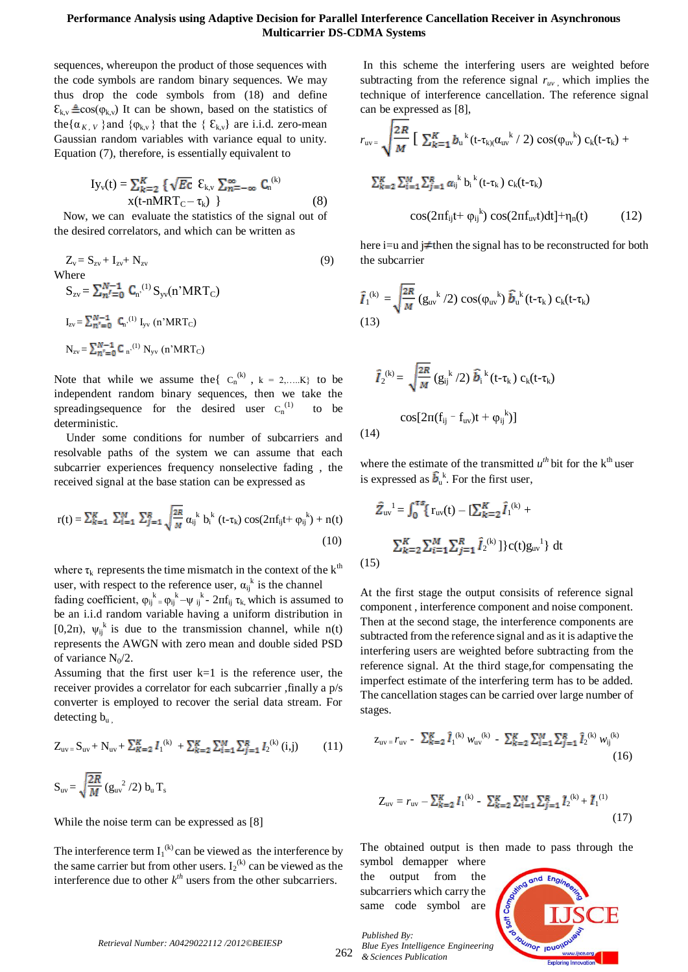# **Performance Analysis using Adaptive Decision for Parallel Interference Cancellation Receiver in Asynchronous Multicarrier DS-CDMA Systems**

sequences, whereupon the product of those sequences with the code symbols are random binary sequences. We may thus drop the code symbols from (18) and define  $\mathcal{E}_{k,v}$   $\triangleq$  cos( $\varphi_{k,v}$ ) It can be shown, based on the statistics of the{ $\alpha_{K, V}$ } and { $\varphi_{k,v}$ } that the {  $\mathcal{E}_{k,v}$ } are i.i.d. zero-mean Gaussian random variables with variance equal to unity. Equation (7), therefore, is essentially equivalent to

$$
Iy_v(t) = \sum_{k=2}^{K} \{ \sqrt{Ec} \ \xi_{k,v} \sum_{n=-\infty}^{\infty} C_n^{(k)} \}
$$
  
 
$$
x(t-nMRT_C - \tau_k) \}
$$
 (8)

 Now, we can evaluate the statistics of the signal out of the desired correlators, and which can be written as

$$
Z_{v} = S_{zv} + I_{zv} + N_{zv}
$$
\n(9)  
\nWhere  
\n
$$
S_{zv} = \sum_{n'} N_{n}^{-1} C_{n'}^{(1)} S_{yv}(n' MRT_{C})
$$
\n
$$
I_{zv} = \sum_{n'=0}^{N-1} C_{n'}^{(1)} I_{yv}(n' MRT_{C})
$$
\n
$$
N_{zv} = \sum_{n'=0}^{N-1} C_{n'}^{(1)} N_{yv}(n' MRT_{C})
$$

Note that while we assume the  $\{C_n^{(k)}, k = 2,...K\}$  to be independent random binary sequences, then we take the spreadingsequence for the desired user  $C_n^{(1)}$ to be deterministic.

 Under some conditions for number of subcarriers and resolvable paths of the system we can assume that each subcarrier experiences frequency nonselective fading , the received signal at the base station can be expressed as

$$
r(t) = \sum_{k=1}^{K} \sum_{i=1}^{M} \sum_{j=1}^{R} \sqrt{\frac{2R}{M}} \alpha_{ij}^{k} b_{i}^{k} (t - \tau_{k}) \cos(2\pi f_{ij} t + \varphi_{ij}^{k}) + n(t)
$$
\n(10)

where  $\tau_k$  represents the time mismatch in the context of the  $k^{th}$ user, with respect to the reference user,  $\alpha_{ij}^k$  is the channel

fading coefficient,  $\varphi_{ij}^k = \varphi_{ij}^k - \psi_{ij}^k - 2\pi f_{ij} \tau_k$ , which is assumed to be an i.i.d random variable having a uniform distribution in [0,2 $\pi$ ],  $\psi_{ij}^k$  is due to the transmission channel, while  $n(t)$ represents the AWGN with zero mean and double sided PSD of variance  $N_0/2$ .

Assuming that the first user  $k=1$  is the reference user, the receiver provides a correlator for each subcarrier ,finally a p/s converter is employed to recover the serial data stream. For detecting  $b_{\rm u}$ .

$$
Z_{uv} = S_{uv} + N_{uv} + \sum_{K=2}^{K} I_1^{(k)} + \sum_{K=2}^{K} \sum_{i=1}^{M} \sum_{j=1}^{R} I_2^{(k)} (i,j)
$$
 (11)  
\n
$$
S_{uv} = \sqrt{\frac{2R}{M}} (g_{uv}^2 / 2) b_u T_s
$$

While the noise term can be expressed as [8]

The interference term  $I_1^{(k)}$  can be viewed as the interference by the same carrier but from other users.  $I_2^{(k)}$  can be viewed as the interference due to other  $k^{th}$  users from the other subcarriers.

In this scheme the interfering users are weighted before subtracting from the reference signal  $r_{uv}$ , which implies the technique of interference cancellation. The reference signal can be expressed as [8],

$$
r_{uv} = \sqrt{\frac{2R}{M} \left[ \sum_{k=1}^{K} b_{u}^{k} (t - \tau_{k)(\alpha_{uv}}^{k} / 2) \cos(\varphi_{uv}^{k}) \right] c_{k}(t - \tau_{k}) +
$$
  

$$
\sum_{k=2}^{K} \sum_{i=1}^{M} \sum_{j=1}^{R} \alpha_{ij}^{k} b_{i}^{k} (t - \tau_{k}) c_{k}(t - \tau_{k})
$$
  

$$
\cos(2\pi f_{ij}t + \varphi_{ij}^{k}) \cos(2\pi f_{uv}t) dt] + \eta_{n}(t)
$$
 (12)

here i=u and j $\neq$ then the signal has to be reconstructed for both the subcarrier

$$
\hat{I}_1^{(k)} = \sqrt{\frac{2R}{M}} (g_{uv}^{k}/2) \cos(\varphi_{uv}^{k}) \hat{b}_u^{k} (t-\tau_k) c_k(t-\tau_k)
$$
\n(13)

$$
\hat{I}_2^{(k)} = \sqrt{\frac{2R}{M}} (g_{ij}^{k}/2) \hat{b}_i^{k} (t-\tau_k) c_k(t-\tau_k)
$$

$$
cos[2\pi(f_{ij} - f_{uv})t + \varphi_{ij}^{k}]
$$

$$
(14)
$$

where the estimate of the transmitted  $u^{th}$  bit for the  $k^{th}$  user is expressed as  $\hat{b}_u^k$ . For the first user,

$$
\hat{Z}_{uv}^{I} = \int_0^{\tau s} \{r_{uv}(t) - [\sum_{k=2}^K \hat{I}_1^{(k)} + \sum_{k=2}^K \sum_{i=1}^M \hat{I}_2^{(k)}]\} c(t) g_{uv}^{I} dt
$$
\n(15)

At the first stage the output consisits of reference signal component , interference component and noise component. Then at the second stage, the interference components are subtracted from the reference signal and as it is adaptive the interfering users are weighted before subtracting from the reference signal. At the third stage,for compensating the imperfect estimate of the interfering term has to be added. The cancellation stages can be carried over large number of stages.

$$
z_{uv} = r_{uv} - \sum_{k=2}^{R} \hat{I}_{1}^{(k)} w_{uv}^{(k)} - \sum_{k=2}^{R} \sum_{i=1}^{M} \sum_{j=1}^{R} \hat{I}_{2}^{(k)} w_{ij}^{(k)}
$$
(16)

$$
Z_{\rm uv} = r_{\rm uv} - \sum_{k=2}^{K} I_1^{(k)} - \sum_{k=2}^{K} \sum_{i=1}^{M} \sum_{j=1}^{R} I_2^{(k)} + I_1^{(1)}
$$
\n(17)

The obtained output is then made to pass through the symbol demapper where

the output from the subcarriers which carry the same code symbol are



*Retrieval Number: A0429022112 /2012©BEIESP*

262 *& Sciences Publication* 

*Published By:*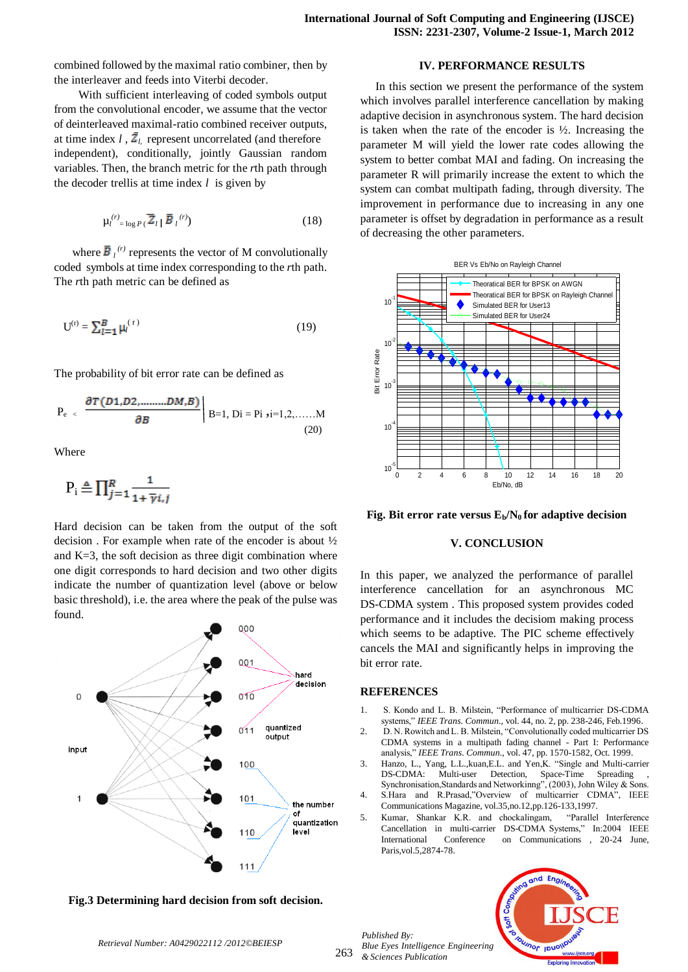combined followed by the maximal ratio combiner, then by the interleaver and feeds into Viterbi decoder.

 With sufficient interleaving of coded symbols output from the convolutional encoder, we assume that the vector of deinterleaved maximal-ratio combined receiver outputs, at time index  $l$ ,  $\bar{Z}_l$  represent uncorrelated (and therefore independent), conditionally, jointly Gaussian random variables. Then, the branch metric for the *r*th path through the decoder trellis at time index *l* is given by

$$
\mu_l^{(r)} = \log P(\bar{Z}_l | \bar{B}_l^{(r)}) \tag{18}
$$

where  $\overline{B}_l^{(r)}$  represents the vector of M convolutionally coded symbols at time index corresponding to the *r*th path. The *r*th path metric can be defined as

$$
U^{(r)} = \sum_{l=1}^{B} \mu_l^{(r)}
$$
 (19)

The probability of bit error rate can be defined as

$$
P_e \sim \frac{\partial T(D1, D2, \dots, D M, B)}{\partial B} \Big| B=1, D_i = Pi, i=1,2, \dots, M
$$
\n(20)

Where

$$
P_i \triangleq \prod_{j=1}^R \frac{1}{1 + \overline{\gamma} i, j}
$$

Hard decision can be taken from the output of the soft decision . For example when rate of the encoder is about ½ and  $K=3$ , the soft decision as three digit combination where one digit corresponds to hard decision and two other digits indicate the number of quantization level (above or below basic threshold), i.e. the area where the peak of the pulse was found.



**Fig.3 Determining hard decision from soft decision.**

**IV. PERFORMANCE RESULTS**

 In this section we present the performance of the system which involves parallel interference cancellation by making adaptive decision in asynchronous system. The hard decision is taken when the rate of the encoder is  $\frac{1}{2}$ . Increasing the parameter M will yield the lower rate codes allowing the system to better combat MAI and fading. On increasing the parameter R will primarily increase the extent to which the system can combat multipath fading, through diversity. The improvement in performance due to increasing in any one parameter is offset by degradation in performance as a result of decreasing the other parameters.



**Fig. Bit error rate versus**  $E_b/N_0$  **for adaptive decision** 

## **V. CONCLUSION**

In this paper, we analyzed the performance of parallel interference cancellation for an asynchronous MC DS-CDMA system . This proposed system provides coded performance and it includes the decisiom making process which seems to be adaptive. The PIC scheme effectively cancels the MAI and significantly helps in improving the bit error rate.

#### **REFERENCES**

- 1. S. Kondo and L. B. Milstein, "Performance of multicarrier DS-CDMA systems," *IEEE Trans. Commun.,* vol. 44, no. 2, pp. 238-246, Feb.1996.
- 2. D. N. Rowitch and L. B. Milstein, "Convolutionally coded multicarrier DS CDMA systems in a multipath fading channel - Part I: Performance analysis," *IEEE Trans. Commun.,* vol. 47, pp. 1570-1582, Oct. 1999.
- 3. Hanzo, L., Yang, L.L.,kuan,E.L. and Yen,K. "Single and Multi-carrier DS-CDMA: Multi-user Detection, Space-Time Spreading Synchronisation,Standards and Networkinng", (2003), John Wiley & Sons.
- 4. S.Hara and R.Prasad,"Overview of multicarrier CDMA", IEEE Communications Magazine, vol.35,no.12,pp.126-133,1997.
- 5. Kumar, Shankar K.R. and chockalingam, "Parallel Interference Cancellation in multi-carrier DS-CDMA Systems," In:2004 IEEE International Conference on Communications , 20-24 June, Paris,vol.5,2874-78.

263 *Published By: Blue Eyes Intelligence Engineering & Sciences Publication* 



*Retrieval Number: A0429022112 /2012©BEIESP*